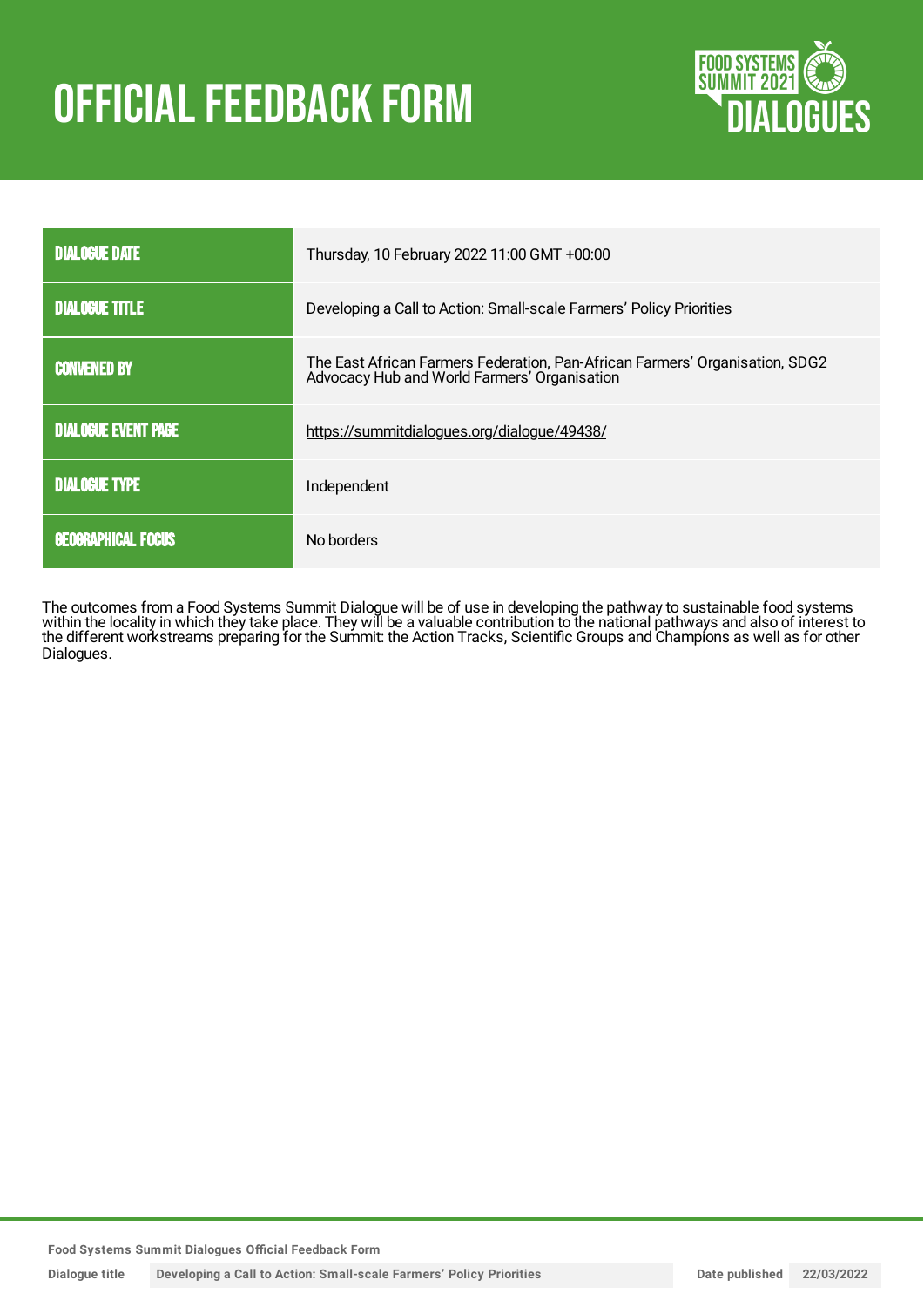# **OFFICIAL FEEDBACK FORM**



| <b>DIALOGUE DATE</b>       | Thursday, 10 February 2022 11:00 GMT +00:00                                                                                  |
|----------------------------|------------------------------------------------------------------------------------------------------------------------------|
| <b>DIALOGUE TITLE</b>      | Developing a Call to Action: Small-scale Farmers' Policy Priorities                                                          |
| <b>CONVENED BY</b>         | The East African Farmers Federation, Pan-African Farmers' Organisation, SDG2<br>Advocacy Hub and World Farmers' Organisation |
| <b>DIALOGUE EVENT PAGE</b> | https://summitdialogues.org/dialogue/49438/                                                                                  |
| <b>DIALOGUE TYPE</b>       | Independent                                                                                                                  |
| <b>GEOGRAPHICAL FOCUS</b>  | No borders                                                                                                                   |

The outcomes from a Food Systems Summit Dialogue will be of use in developing the pathway to sustainable food systems within the locality in which they take place. They will be a valuable contribution to the national pathways and also of interest to the different workstreams preparing for the Summit: the Action Tracks, Scientific Groups and Champions as well as for other Dialogues.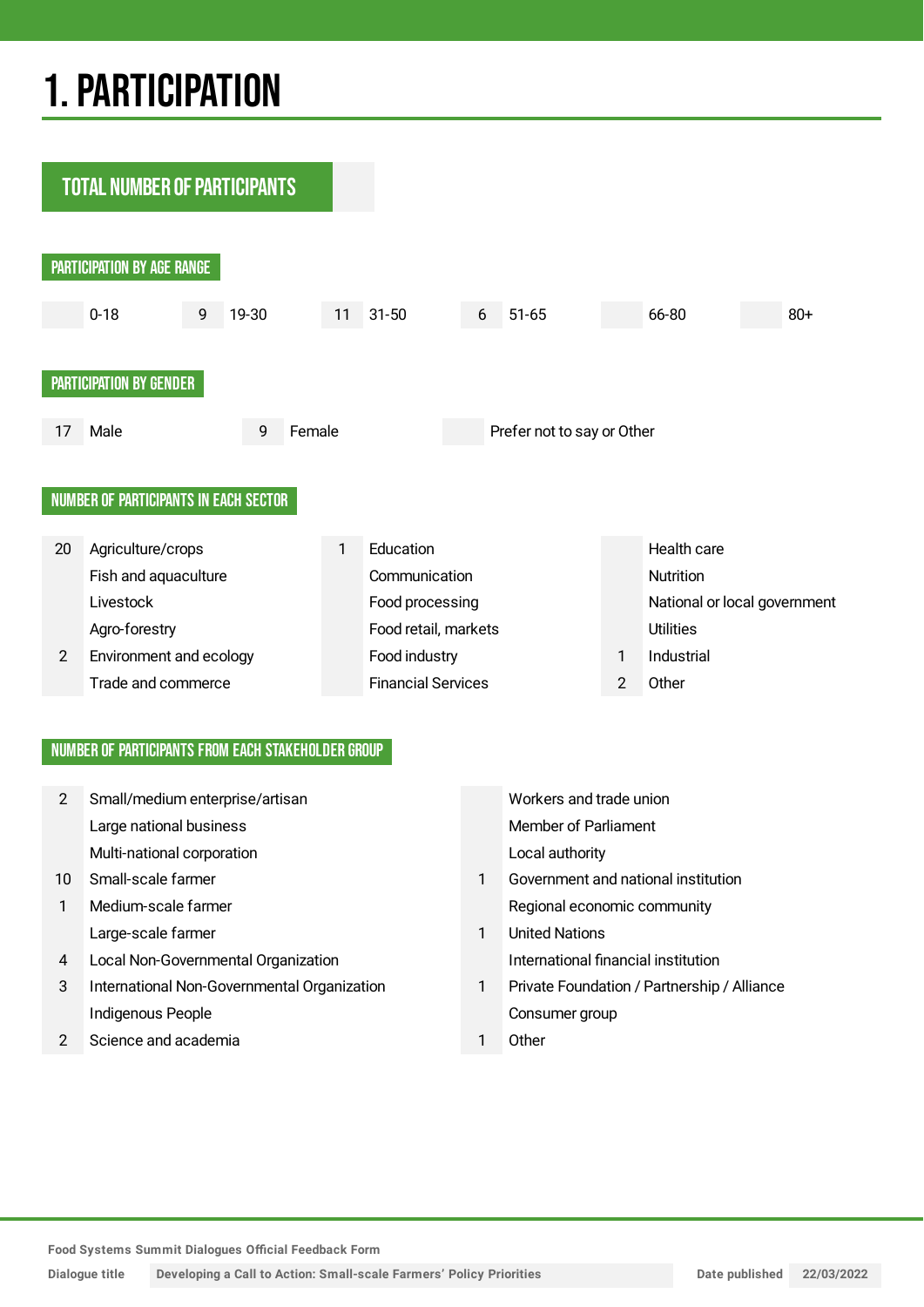## 1.PARTICIPATION

**TOTAL NUMBER OF PARTICIPANTS** PARTICIPATION BY AGE RANGE 0-18 9 19-30 11 31-50 6 51-65 66-80 80+ PARTICIPATION BY GENDER 17 Male 9 Female Prefer not to say or Other NUMBER OF PARTICIPANTS IN EACH SECTOR 20 Agriculture/crops 1 Education 1 Education Health care Fish and aquaculture Communication Communication Livestock **Food processing** Food processing National or local government Agro-forestry **Example 2018** Food retail, markets Utilities 2 Environment and ecology **Food industry** Food industry 1 Industrial Trade and commerce Trade Financial Services 2 Other

#### NUMBER OF PARTICIPANTS FROM EACH STAKEHOLDER GROUP

| 2  | Small/medium enterprise/artisan             |   | Workers and trade union                     |
|----|---------------------------------------------|---|---------------------------------------------|
|    | Large national business                     |   | Member of Parliament                        |
|    | Multi-national corporation                  |   | Local authority                             |
| 10 | Small-scale farmer                          |   | Government and national institution         |
| 1  | Medium-scale farmer                         |   | Regional economic community                 |
|    | Large-scale farmer                          | 1 | <b>United Nations</b>                       |
| 4  | Local Non-Governmental Organization         |   | International financial institution         |
| 3  | International Non-Governmental Organization | 1 | Private Foundation / Partnership / Alliance |
|    | Indigenous People                           |   | Consumer group                              |
|    | Science and academia                        |   | Other                                       |
|    |                                             |   |                                             |

**Food Systems Summit Dialogues Official Feedback Form**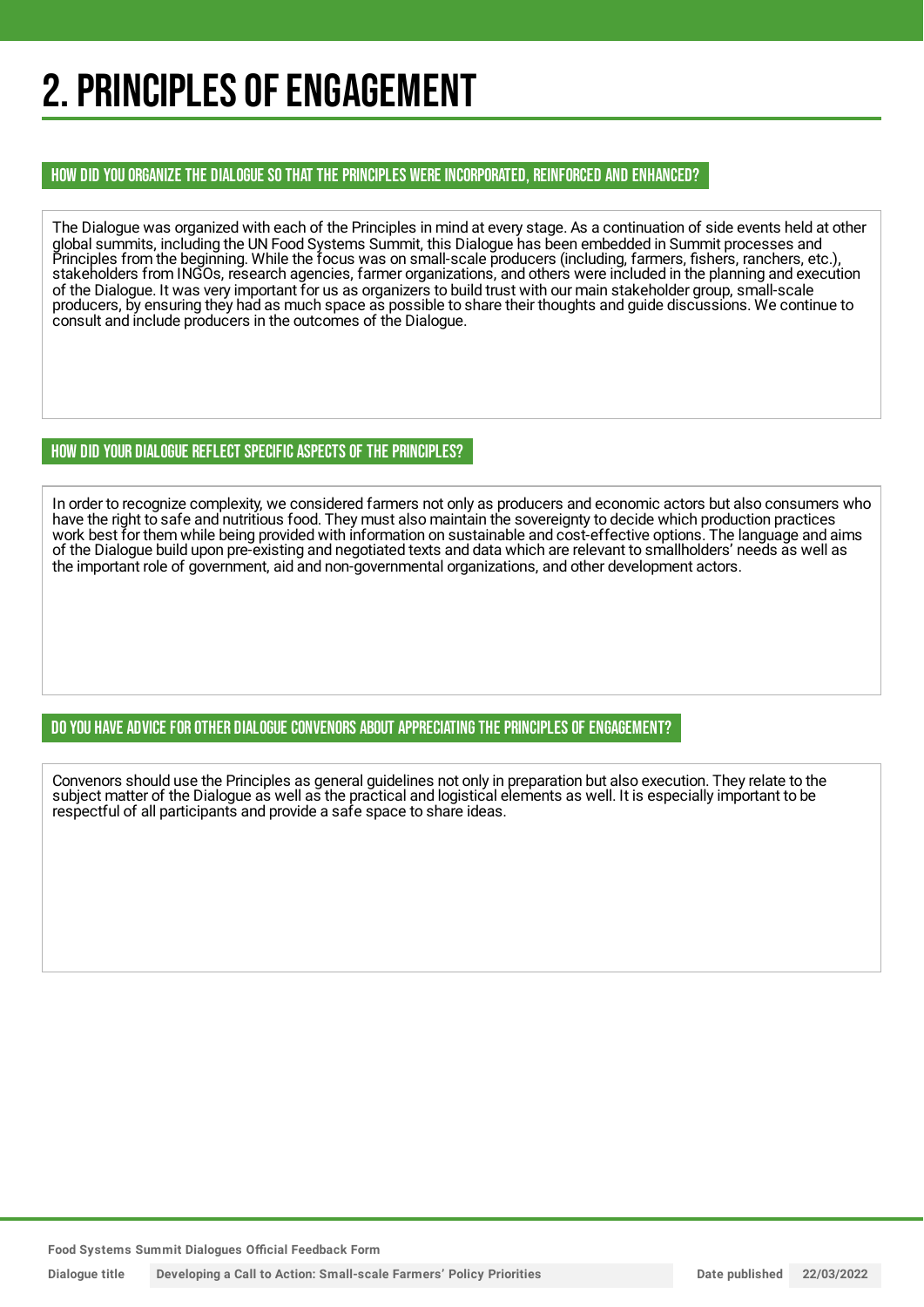## 2. PRINCIPLES OF ENGAGEMENT

#### HOW DID YOU ORGANIZE THE DIALOGUE SO THAT THE PRINCIPLES WERE INCORPORATED, REINFORCED AND ENHANCED?

The Dialogue was organized with each of the Principles in mind at every stage. As a continuation of side events held at other global summits, including the UN Food Systems Summit, this Dialogue has been embedded in Summit processes and Principles from the beginning. While the focus was on small-scale producers (including, farmers, fishers, ranchers, etc.), stakeholders from INGOs, research agencies, farmer organizations, and others were included in the planning and execution of the Dialogue. It was very important for us as organizers to build trust with our main stakeholder group, small-scale producers, by ensuring they had as much space as possible to share their thoughts and guide discussions. We continue to consult and include producers in the outcomes of the Dialogue.

#### HOW DID YOUR DIALOGUE REFLECT SPECIFIC ASPECTS OF THE PRINCIPLES?

In order to recognize complexity, we considered farmers not only as producers and economic actors but also consumers who have the right to safe and nutritious food. They must also maintain the sovereignty to decide which production practices work best for them while being provided with information on sustainable and cost-effective options. The language and aims of the Dialogue build upon pre-existing and negotiated texts and data which are relevant to smallholders' needs as well as the important role of government, aid and non-governmental organizations, and other development actors.

#### DO YOU HAVE ADVICE FOR OTHER DIALOGUE CONVENORS ABOUT APPRECIATINGTHE PRINCIPLES OF ENGAGEMENT?

Convenors should use the Principles as general guidelines not only in preparation but also execution. They relate to the subject matter of the Dialogue as well as the practical and logistical elements as well. It is especially important to be respectful of all participants and provide a safe space to share ideas.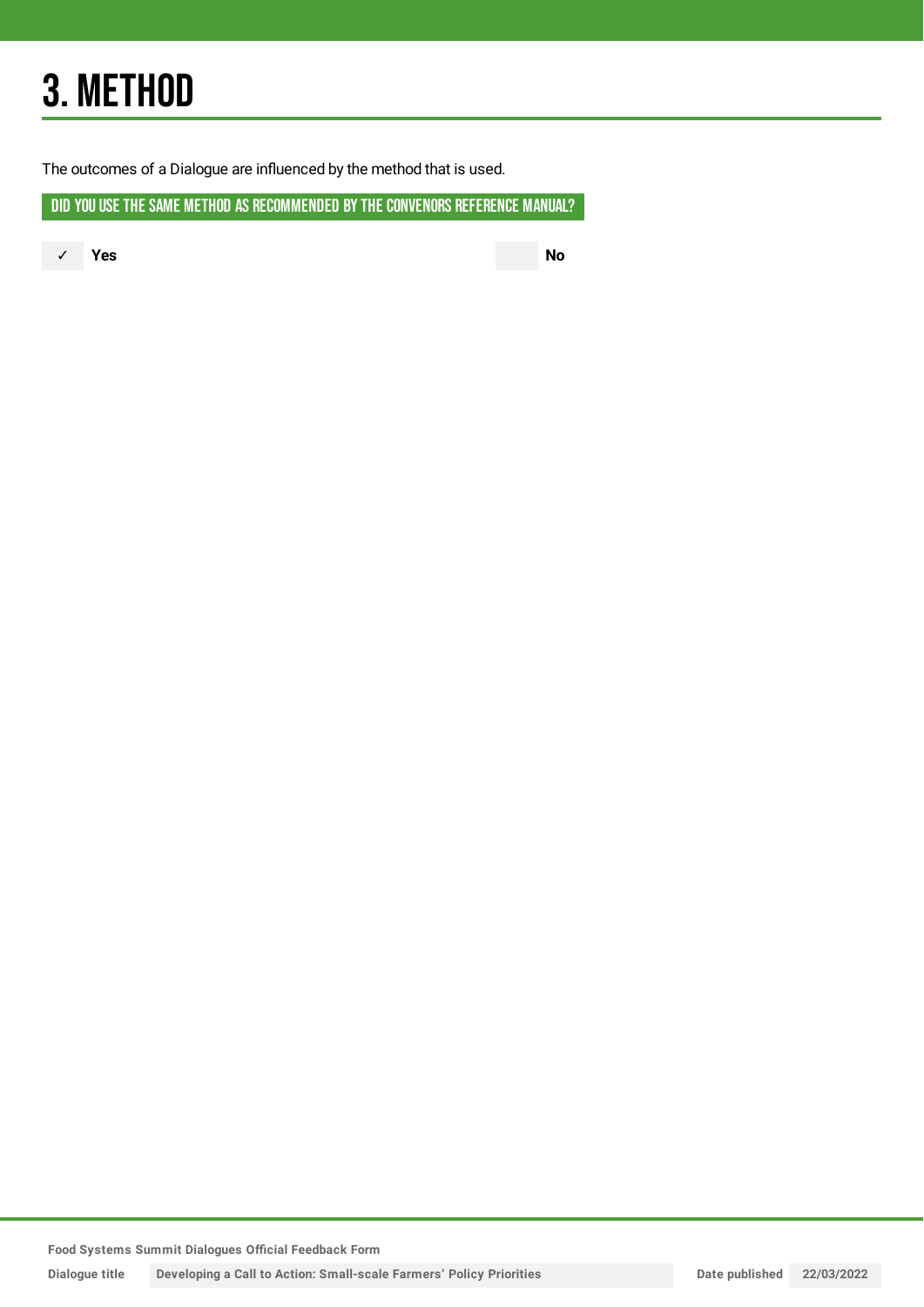## 3. METHOD

The outcomes of a Dialogue are influenced by the method that is used.

DID YOU USE THE SAME METHOD AS RECOMMENDED BY THE CONVENORS REFERENCE MANUAL?

✓ **Yes No**

**Food Systems Summit Dialogues Official Feedback Form**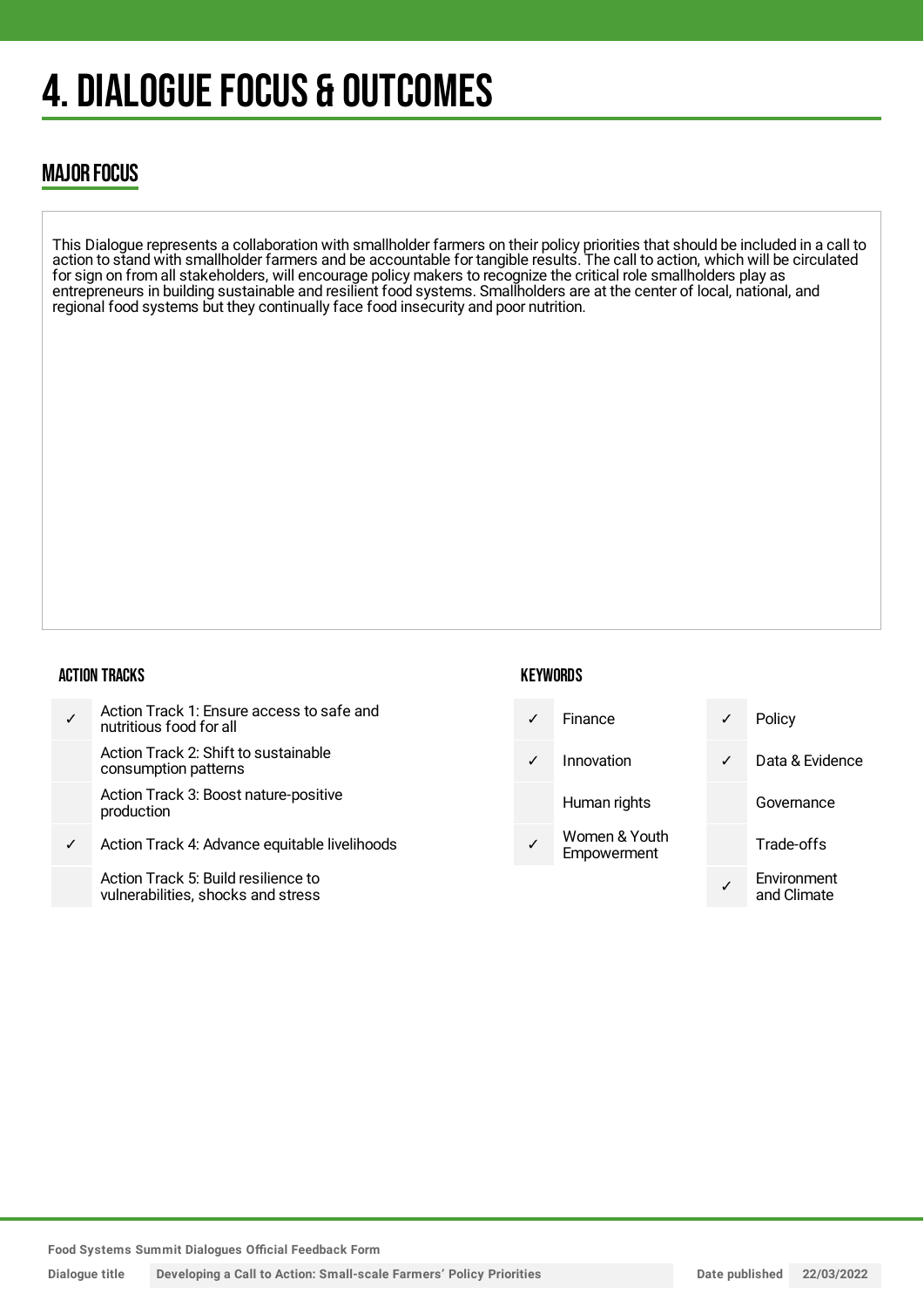## 4. DIALOGUE FOCUS & OUTCOMES

### MAJOR FOCUS

This Dialogue represents a collaboration with smallholder farmers on their policy priorities that should be included in a call to action to stand with smallholder farmers and be accountable for tangible results. The call to action, which will be circulated for sign on from all stakeholders, will encourage policy makers to recognize the critical role smallholders play as entrepreneurs in building sustainable and resilient food systems. Smallholders are at the center of local, national, and regional food systems but they continually face food insecurity and poor nutrition.

#### ACTION TRACKS

| $\checkmark$ | Action Track 1: Ensure access to safe and<br>nutritious food for all |
|--------------|----------------------------------------------------------------------|
|              | Action Track 2: Shift to sustainable<br>consumption patterns         |
|              | Action Track 3: Boost nature-positive<br>production                  |
|              | Action Track 4: Advance equitable livelihoods                        |

Action Track 5: Build resilience to vulnerabilities, shocks and stress

#### **KEYWORDS**



**Food Systems Summit Dialogues Official Feedback Form**

**Dialogue title Developing a Call to Action: Small-scale Farmers' Policy Priorities Date published 22/03/2022**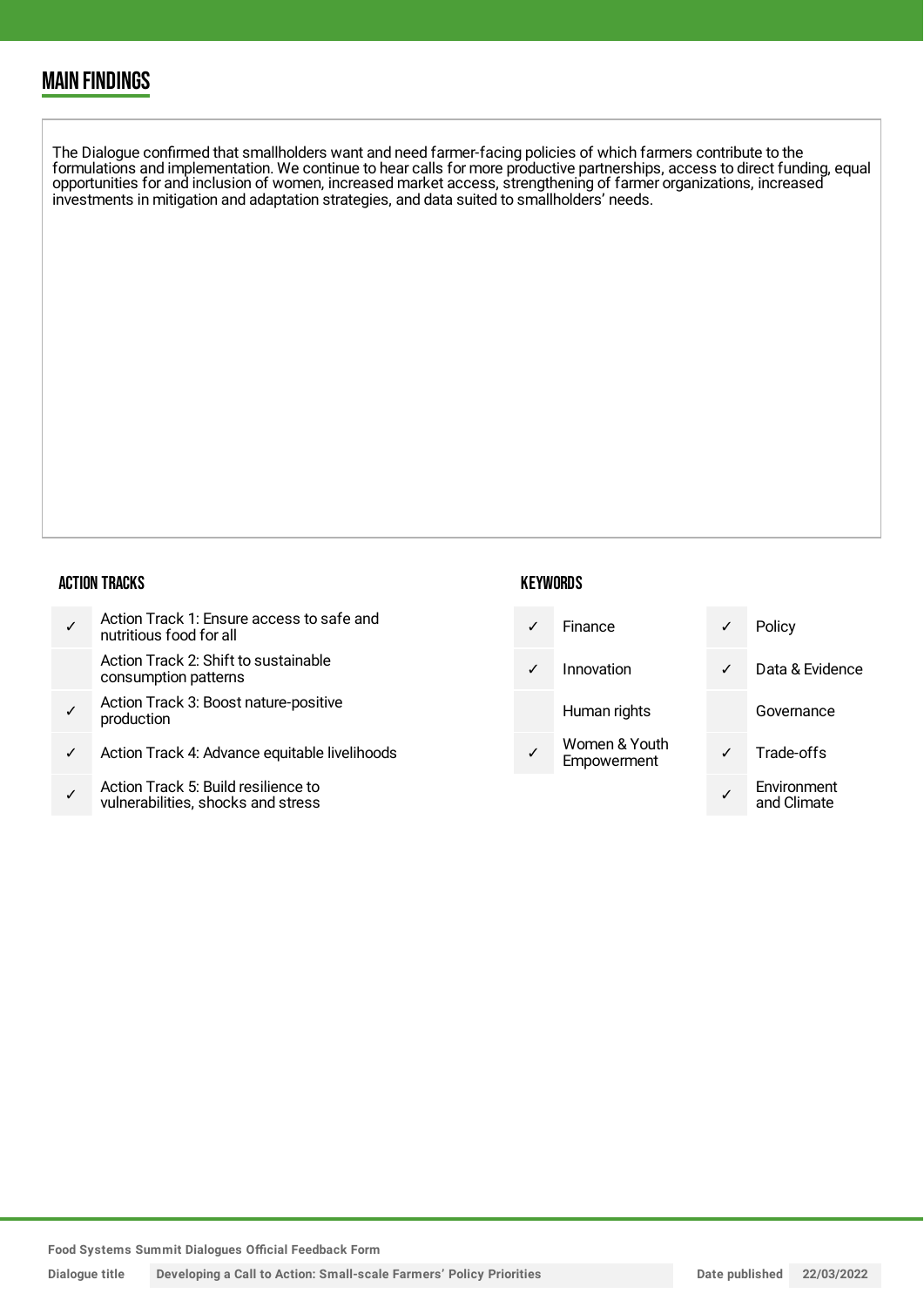### MAIN FINDINGS

The Dialogue confirmed that smallholders want and need farmer-facing policies of which farmers contribute to the formulations and implementation. We continue to hear calls for more productive partnerships, access to direct funding, equal opportunities for and inclusion of women, increased market access, strengthening of farmer organizations, increased investments in mitigation and adaptation strategies, and data suited to smallholders' needs.

#### ACTION TRACKS

|   | Action Track 1: Ensure access to safe and<br>nutritious food for all     | ✓            | Finance                      |   | Policy                     |
|---|--------------------------------------------------------------------------|--------------|------------------------------|---|----------------------------|
|   | Action Track 2: Shift to sustainable<br>consumption patterns             | $\checkmark$ | Innovation                   | ✓ | Data & Evidence            |
|   | Action Track 3: Boost nature-positive<br>production                      |              | Human rights                 |   | Governance                 |
| ✓ | Action Track 4: Advance equitable livelihoods                            |              | Women & Youth<br>Empowerment |   | Trade-offs                 |
|   | Action Track 5: Build resilience to<br>vulnorabilities shooks and stross |              |                              |   | Environment<br>and Climato |

**KEYWORDS** 

**Food Systems Summit Dialogues Official Feedback Form**

vulnerabilities, shocks and stress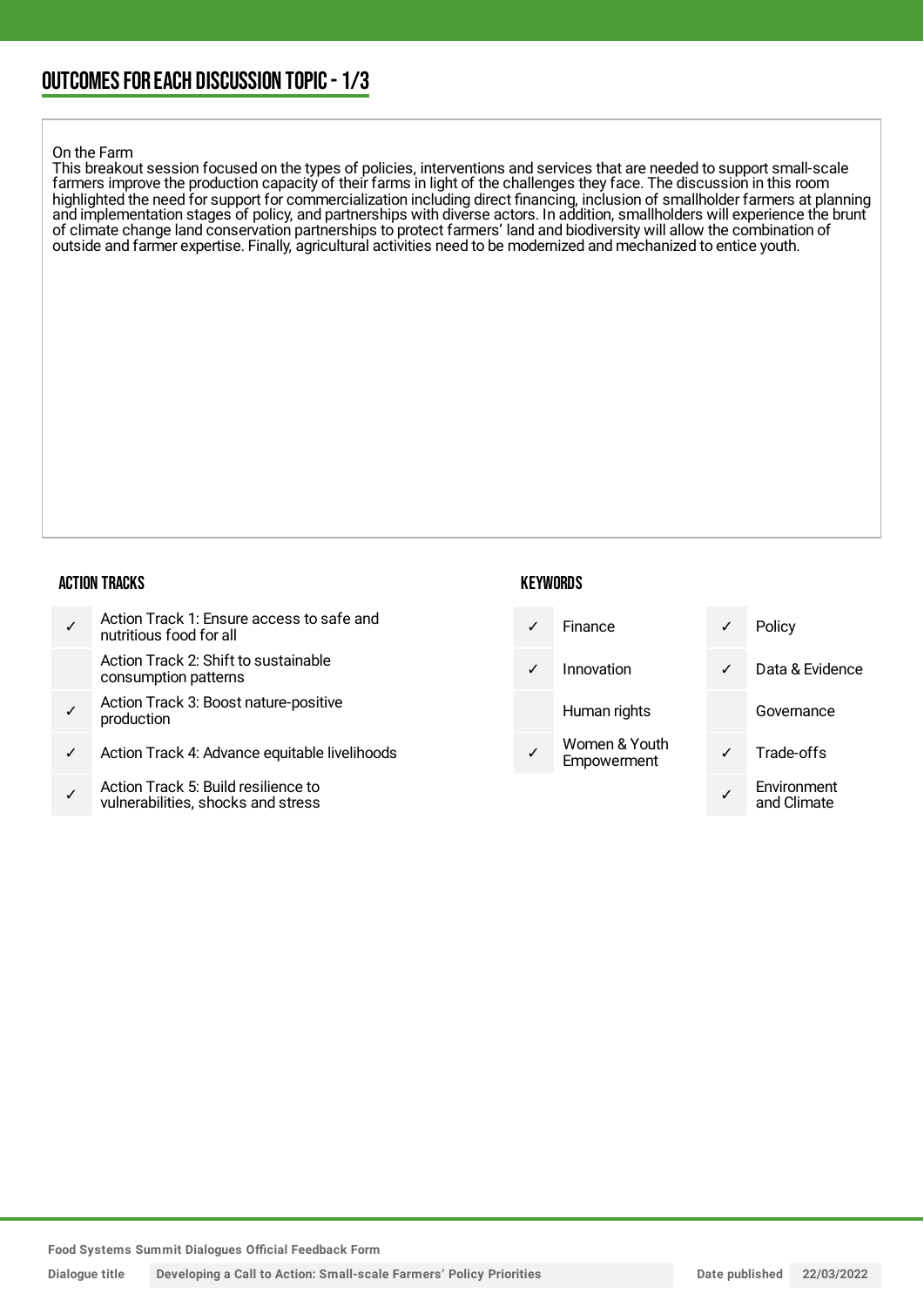#### On the Farm

This breakout session focused on the types of policies, interventions and services that are needed to support small-scale farmers improve the production capacity of their farms in light of the challenges they face. The discussion in this room highlighted the need for support for commercialization including direct financing, inclusion of smallholder farmers at planning and implementation stages of policy, and partnerships with diverse actors. In addition, smallholders will experience the brunt of climate change land conservation partnerships to protect farmers' land and biodiversity will allow the combination of outside and farmer expertise. Finally, agricultural activities need to be modernized and mechanized to entice youth.

#### ACTION TRACKS

|   | Action Track 1: Ensure access to safe and<br>nutritious food for all     | $\checkmark$ | Finance                      | ✓            | Policy                     |
|---|--------------------------------------------------------------------------|--------------|------------------------------|--------------|----------------------------|
|   | Action Track 2: Shift to sustainable<br>consumption patterns             | $\checkmark$ | Innovation                   | $\checkmark$ | Data & Evidence            |
|   | Action Track 3: Boost nature-positive<br>production                      |              | Human rights                 |              | Governance                 |
| ✓ | Action Track 4: Advance equitable livelihoods                            |              | Women & Youth<br>Empowerment | $\checkmark$ | Trade-offs                 |
|   | Action Track 5: Build resilience to<br>uulnorabilition chooke and etrope |              |                              |              | Environment<br>and Climato |

**KEYWORDS** 

**Food Systems Summit Dialogues Official Feedback Form**

vulnerabilities, shocks and stress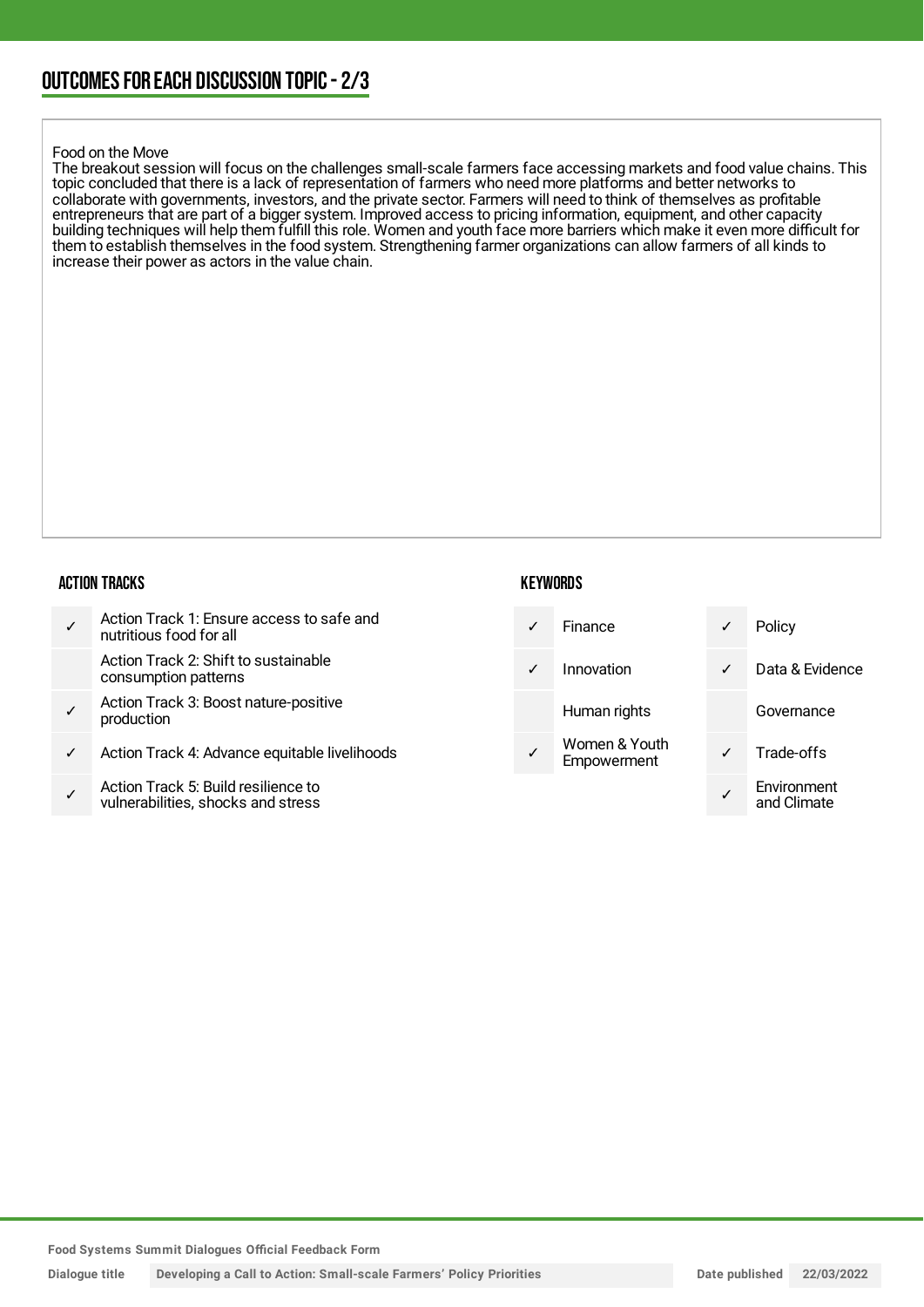#### Food on the Move

The breakout session will focus on the challenges small-scale farmers face accessing markets and food value chains. This topic concluded that there is a lack of representation of farmers who need more platforms and better networks to collaborate with governments, investors, and the private sector. Farmers will need to think of themselves as profitable entrepreneurs that are part of a bigger system. Improved access to pricing information, equipment, and other capacity building techniques will help them fulfill this role. Women and youth face more barriers which make it even more difficult for them to establish themselves in the food system. Strengthening farmer organizations can allow farmers of all kinds to increase their power as actors in the value chain.

#### ACTION TRACKS

|   | Action Track 1: Ensure access to safe and<br>nutritious food for all     | $\checkmark$ | Finance                      | ✓            | Policy                     |
|---|--------------------------------------------------------------------------|--------------|------------------------------|--------------|----------------------------|
|   | Action Track 2: Shift to sustainable<br>consumption patterns             | $\checkmark$ | Innovation                   | $\checkmark$ | Data & Evidence            |
|   | Action Track 3: Boost nature-positive<br>production                      |              | Human rights                 |              | Governance                 |
| ✓ | Action Track 4: Advance equitable livelihoods                            |              | Women & Youth<br>Empowerment | $\checkmark$ | Trade-offs                 |
|   | Action Track 5: Build resilience to<br>uulnorabilition chooke and etrope |              |                              |              | Environment<br>and Climato |

**KEYWORDS** 

**Food Systems Summit Dialogues Official Feedback Form**

vulnerabilities, shocks and stress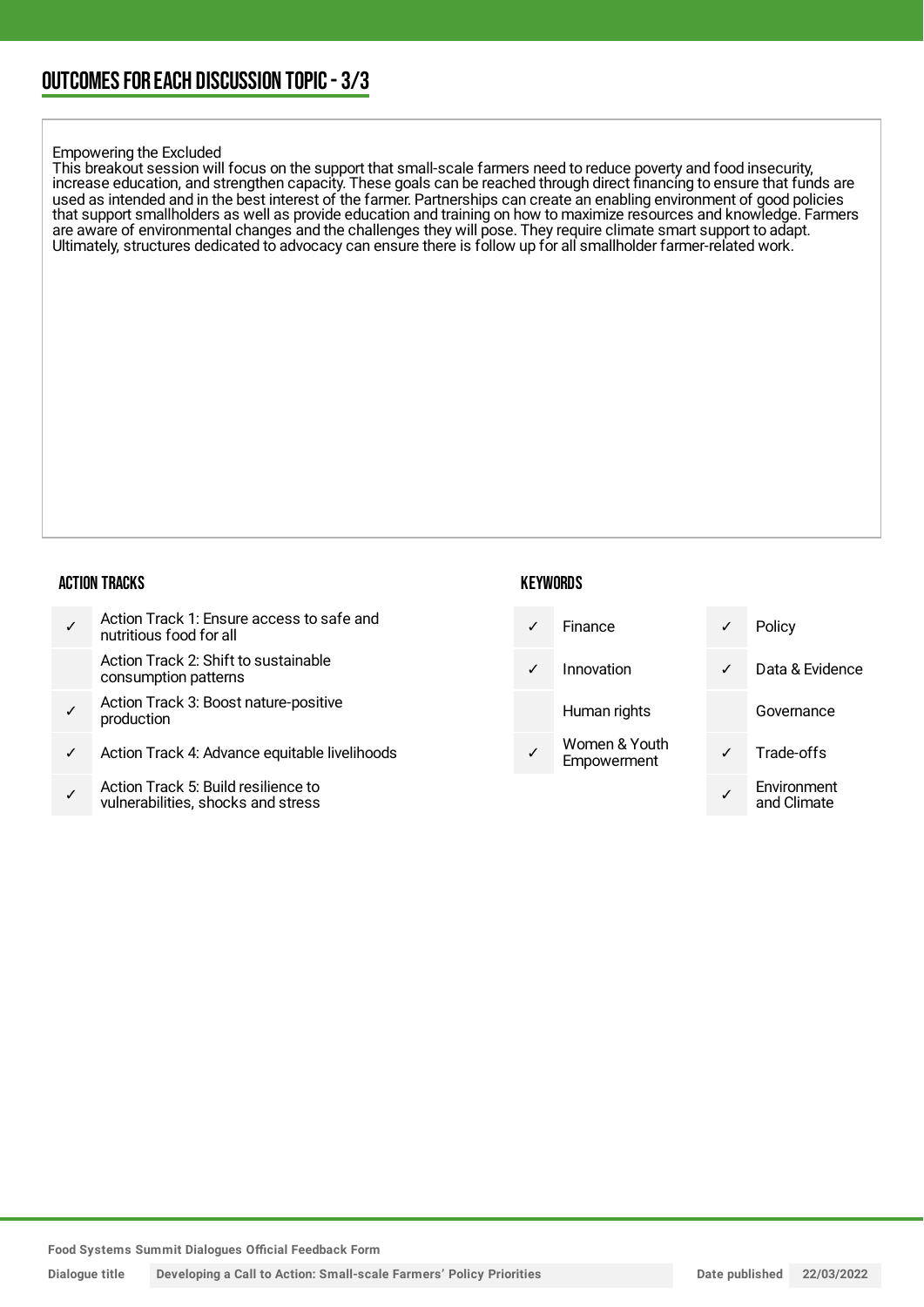#### Empowering the Excluded

This breakout session will focus on the support that small-scale farmers need to reduce poverty and food insecurity, increase education, and strengthen capacity. These goals can be reached through direct financing to ensure that funds are used as intended and in the best interest of the farmer. Partnerships can create an enabling environment of good policies that support smallholders as well as provide education and training on how to maximize resources and knowledge. Farmers are aware of environmental changes and the challenges they will pose. They require climate smart support to adapt. Ultimately, structures dedicated to advocacy can ensure there is follow up for all smallholder farmer-related work.

#### ACTION TRACKS

|   | Action Track 1: Ensure access to safe and<br>nutritious food for all     |            | Finance                      | ✓            | Policy                     |
|---|--------------------------------------------------------------------------|------------|------------------------------|--------------|----------------------------|
|   | Action Track 2: Shift to sustainable<br>consumption patterns             | $\sqrt{ }$ | Innovation                   | $\checkmark$ | Data & Evidence            |
|   | Action Track 3: Boost nature-positive<br>production                      |            | Human rights                 |              | Governance                 |
| ✓ | Action Track 4: Advance equitable livelihoods                            |            | Women & Youth<br>Empowerment | $\checkmark$ | Trade-offs                 |
|   | Action Track 5: Build resilience to<br>wilperabilities shooks and stross |            |                              |              | Environment<br>and Climato |

**KEYWORDS** 

✓ vulnerabilities, shocks and stress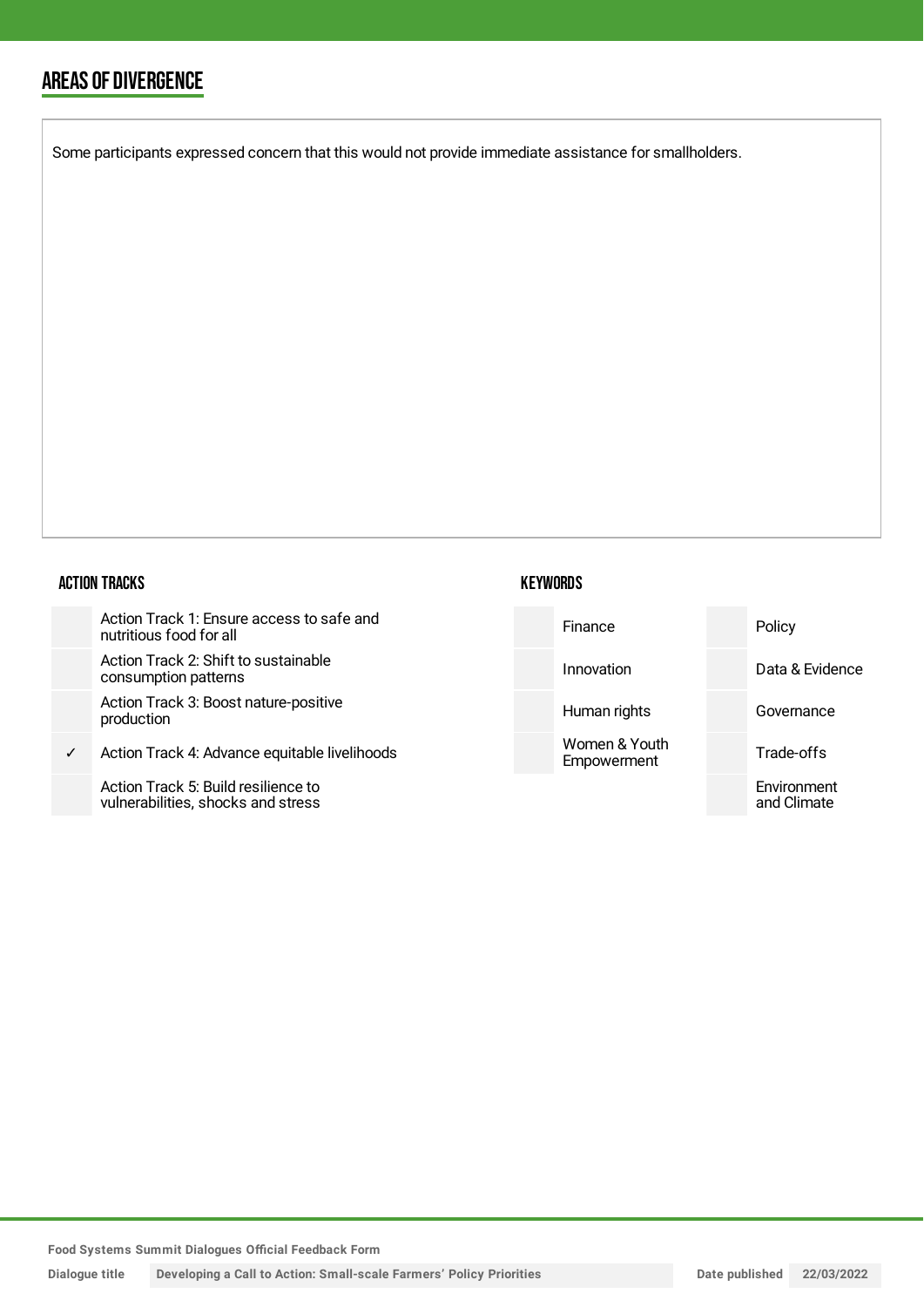### AREAS OF DIVERGENCE

Some participants expressed concern that this would not provide immediate assistance for smallholders.

#### ACTION TRACKS

|              | Action Track 1: Ensure access to safe and<br>nutritious food for all      | Finance                      | Policy                     |
|--------------|---------------------------------------------------------------------------|------------------------------|----------------------------|
|              | Action Track 2: Shift to sustainable<br>consumption patterns              | Innovation                   | Data & Evidence            |
|              | Action Track 3: Boost nature-positive<br>production                       | Human rights                 | Governance                 |
| $\checkmark$ | Action Track 4: Advance equitable livelihoods                             | Women & Youth<br>Empowerment | Trade-offs                 |
|              | Action Track 5: Build resilience to<br>vulnerabilities, shocks and stress |                              | Environment<br>and Climate |

**KEYWORDS** 

**Food Systems Summit Dialogues Official Feedback Form**